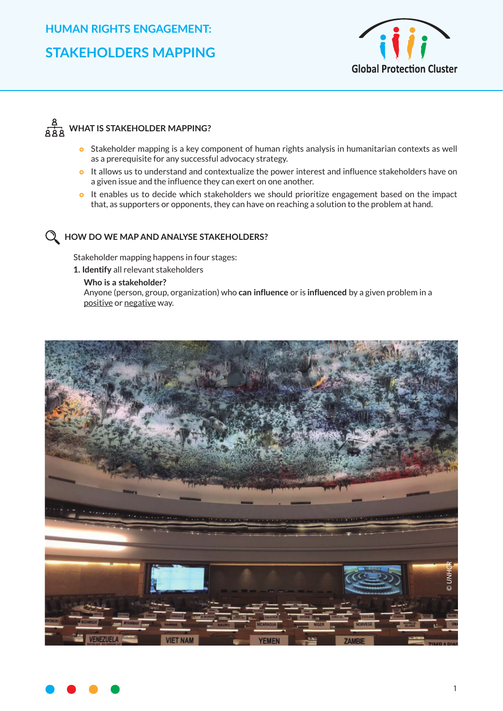

## **A**<br>AAA WHAT IS STAKEHOLDER MAPPING?

- **o** Stakeholder mapping is a key component of human rights analysis in humanitarian contexts as well as a prerequisite for any successful advocacy strategy.
- **o** It allows us to understand and contextualize the power interest and influence stakeholders have on a given issue and the influence they can exert on one another.
- o It enables us to decide which stakeholders we should prioritize engagement based on the impact that, as supporters or opponents, they can have on reaching a solution to the problem at hand.

## **HOW DO WE MAP AND ANALYSE STAKEHOLDERS?**

Stakeholder mapping happens in four stages:

**1. Identify** all relevant stakeholders

**Who is a stakeholder?** Anyone (person, group, organization) who **can influence** or is **influenced** by a given problem in a positive or negative way.